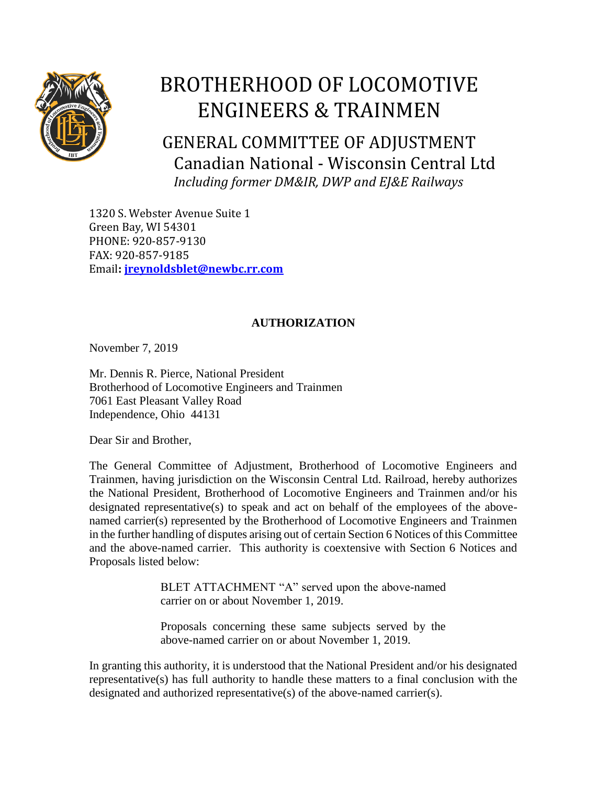

## BROTHERHOOD OF LOCOMOTIVE ENGINEERS & TRAINMEN

GENERAL COMMITTEE OF ADJUSTMENT Canadian National - Wisconsin Central Ltd  *Including former DM&IR, DWP and EJ&E Railways*

1320 S. Webster Avenue Suite 1 Green Bay, WI 54301 PHONE: 920-857-9130 FAX: 920-857-9185 Email**: [jreynoldsblet@newbc.rr.com](mailto:jreynoldblet@newbc.rr.com)**

## **AUTHORIZATION**

November 7, 2019

Mr. Dennis R. Pierce, National President Brotherhood of Locomotive Engineers and Trainmen 7061 East Pleasant Valley Road Independence, Ohio 44131

Dear Sir and Brother,

The General Committee of Adjustment, Brotherhood of Locomotive Engineers and Trainmen, having jurisdiction on the Wisconsin Central Ltd. Railroad, hereby authorizes the National President, Brotherhood of Locomotive Engineers and Trainmen and/or his designated representative(s) to speak and act on behalf of the employees of the abovenamed carrier(s) represented by the Brotherhood of Locomotive Engineers and Trainmen in the further handling of disputes arising out of certain Section 6 Notices of this Committee and the above-named carrier. This authority is coextensive with Section 6 Notices and Proposals listed below:

> BLET ATTACHMENT "A" served upon the above-named carrier on or about November 1, 2019.

> Proposals concerning these same subjects served by the above-named carrier on or about November 1, 2019.

In granting this authority, it is understood that the National President and/or his designated representative(s) has full authority to handle these matters to a final conclusion with the designated and authorized representative(s) of the above-named carrier(s).